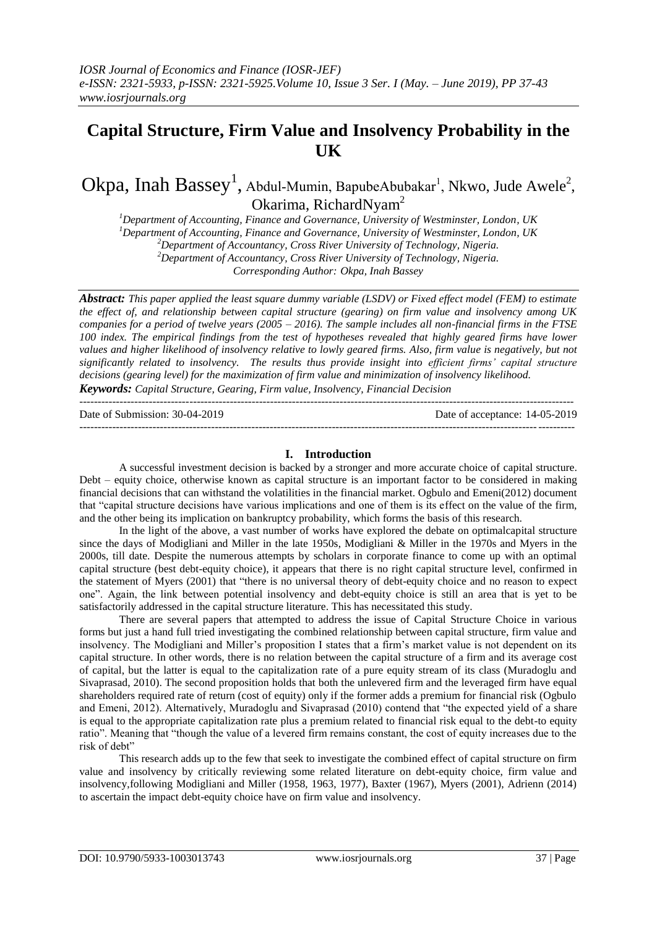# **Capital Structure, Firm Value and Insolvency Probability in the UK**

 $O$ k $pa$ , Inah  $\mathrm{Bassey}^1$ , Abdul-Mumin, BapubeAbubakar<sup>1</sup>, Nkwo, Jude Awele<sup>2</sup>, Okarima, RichardNyam<sup>2</sup>

*Department of Accounting, Finance and Governance, University of Westminster, London, UK Department of Accounting, Finance and Governance, University of Westminster, London, UK Department of Accountancy, Cross River University of Technology, Nigeria. Department of Accountancy, Cross River University of Technology, Nigeria. Corresponding Author: Okpa, Inah Bassey*

*Abstract: This paper applied the least square dummy variable (LSDV) or Fixed effect model (FEM) to estimate the effect of, and relationship between capital structure (gearing) on firm value and insolvency among UK companies for a period of twelve years (2005 – 2016). The sample includes all non-financial firms in the FTSE 100 index. The empirical findings from the test of hypotheses revealed that highly geared firms have lower values and higher likelihood of insolvency relative to lowly geared firms. Also, firm value is negatively, but not significantly related to insolvency. The results thus provide insight into efficient firms' capital structure decisions (gearing level) for the maximization of firm value and minimization of insolvency likelihood. Keywords: Capital Structure, Gearing, Firm value, Insolvency, Financial Decision*

---------------------------------------------------------------------------------------------------------------------------------------

Date of Submission: 30-04-2019 Date of acceptance: 14-05-2019

#### ---------------------------------------------------------------------------------------------------------------------------------------

# **I. Introduction**

A successful investment decision is backed by a stronger and more accurate choice of capital structure. Debt – equity choice, otherwise known as capital structure is an important factor to be considered in making financial decisions that can withstand the volatilities in the financial market. Ogbulo and Emeni(2012) document that "capital structure decisions have various implications and one of them is its effect on the value of the firm, and the other being its implication on bankruptcy probability, which forms the basis of this research.

In the light of the above, a vast number of works have explored the debate on optimalcapital structure since the days of Modigliani and Miller in the late 1950s, Modigliani & Miller in the 1970s and Myers in the 2000s, till date. Despite the numerous attempts by scholars in corporate finance to come up with an optimal capital structure (best debt-equity choice), it appears that there is no right capital structure level, confirmed in the statement of Myers (2001) that "there is no universal theory of debt-equity choice and no reason to expect one". Again, the link between potential insolvency and debt-equity choice is still an area that is yet to be satisfactorily addressed in the capital structure literature. This has necessitated this study.

There are several papers that attempted to address the issue of Capital Structure Choice in various forms but just a hand full tried investigating the combined relationship between capital structure, firm value and insolvency. The Modigliani and Miller"s proposition I states that a firm"s market value is not dependent on its capital structure. In other words, there is no relation between the capital structure of a firm and its average cost of capital, but the latter is equal to the capitalization rate of a pure equity stream of its class (Muradoglu and Sivaprasad, 2010). The second proposition holds that both the unlevered firm and the leveraged firm have equal shareholders required rate of return (cost of equity) only if the former adds a premium for financial risk (Ogbulo and Emeni, 2012). Alternatively, Muradoglu and Sivaprasad (2010) contend that "the expected yield of a share is equal to the appropriate capitalization rate plus a premium related to financial risk equal to the debt-to equity ratio". Meaning that "though the value of a levered firm remains constant, the cost of equity increases due to the risk of debt"

This research adds up to the few that seek to investigate the combined effect of capital structure on firm value and insolvency by critically reviewing some related literature on debt-equity choice, firm value and insolvency,following Modigliani and Miller (1958, 1963, 1977), Baxter (1967), Myers (2001), Adrienn (2014) to ascertain the impact debt-equity choice have on firm value and insolvency.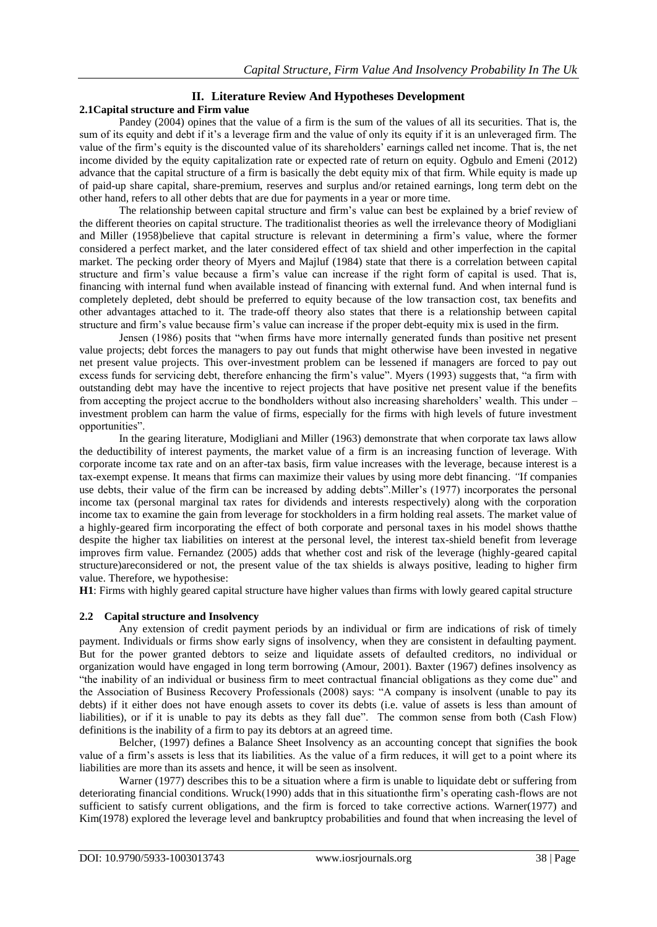### **II. Literature Review And Hypotheses Development 2.1Capital structure and Firm value**

Pandey (2004) opines that the value of a firm is the sum of the values of all its securities. That is, the sum of its equity and debt if it's a leverage firm and the value of only its equity if it is an unleveraged firm. The value of the firm"s equity is the discounted value of its shareholders" earnings called net income. That is, the net income divided by the equity capitalization rate or expected rate of return on equity. Ogbulo and Emeni (2012) advance that the capital structure of a firm is basically the debt equity mix of that firm. While equity is made up of paid-up share capital, share-premium, reserves and surplus and/or retained earnings, long term debt on the other hand, refers to all other debts that are due for payments in a year or more time.

The relationship between capital structure and firm"s value can best be explained by a brief review of the different theories on capital structure. The traditionalist theories as well the irrelevance theory of Modigliani and Miller (1958)believe that capital structure is relevant in determining a firm"s value, where the former considered a perfect market, and the later considered effect of tax shield and other imperfection in the capital market. The pecking order theory of Myers and Majluf (1984) state that there is a correlation between capital structure and firm"s value because a firm"s value can increase if the right form of capital is used. That is, financing with internal fund when available instead of financing with external fund. And when internal fund is completely depleted, debt should be preferred to equity because of the low transaction cost, tax benefits and other advantages attached to it. The trade-off theory also states that there is a relationship between capital structure and firm"s value because firm"s value can increase if the proper debt-equity mix is used in the firm.

Jensen (1986) posits that "when firms have more internally generated funds than positive net present value projects; debt forces the managers to pay out funds that might otherwise have been invested in negative net present value projects. This over-investment problem can be lessened if managers are forced to pay out excess funds for servicing debt, therefore enhancing the firm"s value". Myers (1993) suggests that, "a firm with outstanding debt may have the incentive to reject projects that have positive net present value if the benefits from accepting the project accrue to the bondholders without also increasing shareholders' wealth. This under – investment problem can harm the value of firms, especially for the firms with high levels of future investment opportunities".

In the gearing literature, Modigliani and Miller (1963) demonstrate that when corporate tax laws allow the deductibility of interest payments, the market value of a firm is an increasing function of leverage. With corporate income tax rate and on an after-tax basis, firm value increases with the leverage, because interest is a tax-exempt expense. It means that firms can maximize their values by using more debt financing. *"*If companies use debts, their value of the firm can be increased by adding debts".Miller"s (1977) incorporates the personal income tax (personal marginal tax rates for dividends and interests respectively) along with the corporation income tax to examine the gain from leverage for stockholders in a firm holding real assets. The market value of a highly-geared firm incorporating the effect of both corporate and personal taxes in his model shows thatthe despite the higher tax liabilities on interest at the personal level, the interest tax-shield benefit from leverage improves firm value. Fernandez (2005) adds that whether cost and risk of the leverage (highly-geared capital structure)areconsidered or not, the present value of the tax shields is always positive, leading to higher firm value. Therefore, we hypothesise:

**H1**: Firms with highly geared capital structure have higher values than firms with lowly geared capital structure

# **2.2 Capital structure and Insolvency**

Any extension of credit payment periods by an individual or firm are indications of risk of timely payment. Individuals or firms show early signs of insolvency, when they are consistent in defaulting payment. But for the power granted debtors to seize and liquidate assets of defaulted creditors, no individual or organization would have engaged in long term borrowing (Amour, 2001). Baxter (1967) defines insolvency as "the inability of an individual or business firm to meet contractual financial obligations as they come due" and the Association of Business Recovery Professionals (2008) says: "A company is insolvent (unable to pay its debts) if it either does not have enough assets to cover its debts (i.e. value of assets is less than amount of liabilities), or if it is unable to pay its debts as they fall due". The common sense from both (Cash Flow) definitions is the inability of a firm to pay its debtors at an agreed time.

Belcher, (1997) defines a Balance Sheet Insolvency as an accounting concept that signifies the book value of a firm"s assets is less that its liabilities. As the value of a firm reduces, it will get to a point where its liabilities are more than its assets and hence, it will be seen as insolvent.

Warner (1977) describes this to be a situation where a firm is unable to liquidate debt or suffering from deteriorating financial conditions. Wruck(1990) adds that in this situationthe firm"s operating cash-flows are not sufficient to satisfy current obligations, and the firm is forced to take corrective actions. Warner(1977) and Kim(1978) explored the leverage level and bankruptcy probabilities and found that when increasing the level of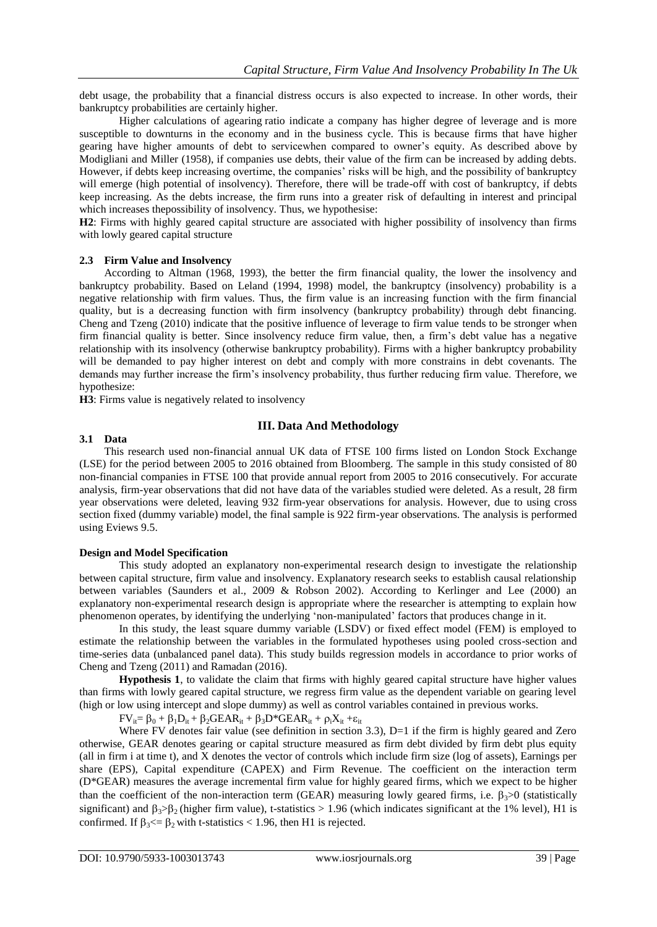debt usage, the probability that a financial distress occurs is also expected to increase. In other words, their bankruptcy probabilities are certainly higher.

Higher calculations of agearing ratio indicate a company has higher degree of leverage and is more susceptible to downturns in the economy and in the business cycle. This is because firms that have higher gearing have higher amounts of debt to servicewhen compared to owner"s equity. As described above by Modigliani and Miller (1958), if companies use debts, their value of the firm can be increased by adding debts. However, if debts keep increasing overtime, the companies' risks will be high, and the possibility of bankruptcy will emerge (high potential of insolvency). Therefore, there will be trade-off with cost of bankruptcy, if debts keep increasing. As the debts increase, the firm runs into a greater risk of defaulting in interest and principal which increases thepossibility of insolvency. Thus, we hypothesise:

**H2**: Firms with highly geared capital structure are associated with higher possibility of insolvency than firms with lowly geared capital structure

## **2.3 Firm Value and Insolvency**

According to Altman (1968, 1993), the better the firm financial quality, the lower the insolvency and bankruptcy probability. Based on Leland (1994, 1998) model, the bankruptcy (insolvency) probability is a negative relationship with firm values. Thus, the firm value is an increasing function with the firm financial quality, but is a decreasing function with firm insolvency (bankruptcy probability) through debt financing. Cheng and Tzeng (2010) indicate that the positive influence of leverage to firm value tends to be stronger when firm financial quality is better. Since insolvency reduce firm value, then, a firm"s debt value has a negative relationship with its insolvency (otherwise bankruptcy probability). Firms with a higher bankruptcy probability will be demanded to pay higher interest on debt and comply with more constrains in debt covenants. The demands may further increase the firm"s insolvency probability, thus further reducing firm value. Therefore, we hypothesize:

**H3**: Firms value is negatively related to insolvency

# **III. Data And Methodology**

## **3.1 Data**

This research used non-financial annual UK data of FTSE 100 firms listed on London Stock Exchange (LSE) for the period between 2005 to 2016 obtained from Bloomberg. The sample in this study consisted of 80 non-financial companies in FTSE 100 that provide annual report from 2005 to 2016 consecutively. For accurate analysis, firm-year observations that did not have data of the variables studied were deleted. As a result, 28 firm year observations were deleted, leaving 932 firm-year observations for analysis. However, due to using cross section fixed (dummy variable) model, the final sample is 922 firm-year observations. The analysis is performed using Eviews 9.5.

#### **Design and Model Specification**

This study adopted an explanatory non-experimental research design to investigate the relationship between capital structure, firm value and insolvency. Explanatory research seeks to establish causal relationship between variables (Saunders et al., 2009 & Robson 2002). According to Kerlinger and Lee (2000) an explanatory non-experimental research design is appropriate where the researcher is attempting to explain how phenomenon operates, by identifying the underlying "non-manipulated" factors that produces change in it.

In this study, the least square dummy variable (LSDV) or fixed effect model (FEM) is employed to estimate the relationship between the variables in the formulated hypotheses using pooled cross-section and time-series data (unbalanced panel data). This study builds regression models in accordance to prior works of Cheng and Tzeng (2011) and Ramadan (2016).

**Hypothesis 1**, to validate the claim that firms with highly geared capital structure have higher values than firms with lowly geared capital structure, we regress firm value as the dependent variable on gearing level (high or low using intercept and slope dummy) as well as control variables contained in previous works.

 $FV_{ii} = \beta_0 + \beta_1 D_{it} + \beta_2 GEAR_{it} + \beta_3 D^* GEAR_{it} + \rho_i X_{it} + \varepsilon_{it}$ 

Where FV denotes fair value (see definition in section 3.3), D=1 if the firm is highly geared and Zero otherwise, GEAR denotes gearing or capital structure measured as firm debt divided by firm debt plus equity (all in firm i at time t), and X denotes the vector of controls which include firm size (log of assets), Earnings per share (EPS), Capital expenditure (CAPEX) and Firm Revenue. The coefficient on the interaction term (D\*GEAR) measures the average incremental firm value for highly geared firms, which we expect to be higher than the coefficient of the non-interaction term (GEAR) measuring lowly geared firms, i.e.  $\beta_3 > 0$  (statistically significant) and  $\beta_3$ > $\beta_2$  (higher firm value), t-statistics > 1.96 (which indicates significant at the 1% level), H1 is confirmed. If  $\beta_3 \leq \beta_2$  with t-statistics  $\lt 1.96$ , then H1 is rejected.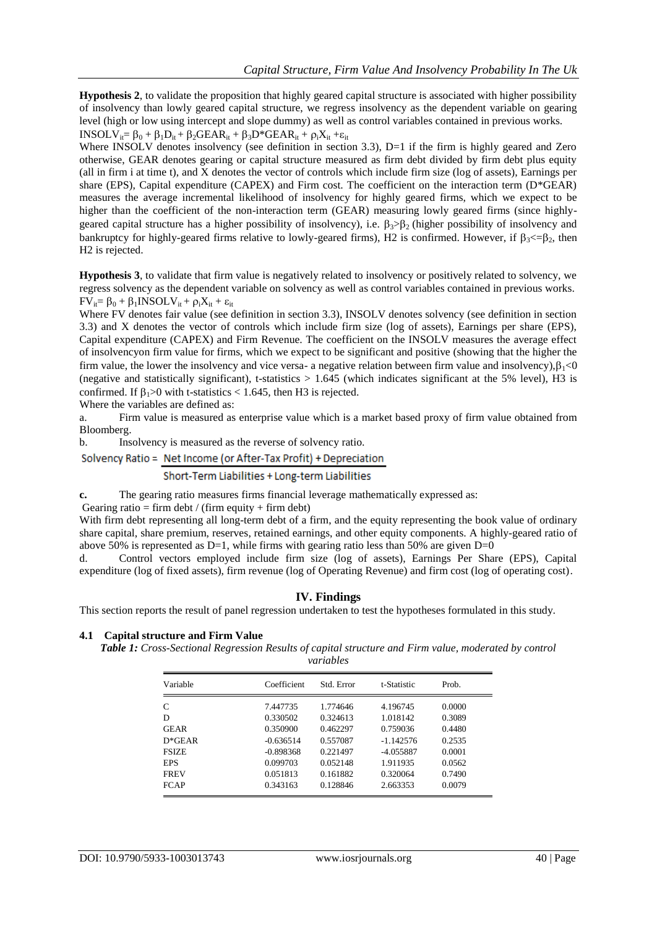**Hypothesis 2**, to validate the proposition that highly geared capital structure is associated with higher possibility of insolvency than lowly geared capital structure, we regress insolvency as the dependent variable on gearing level (high or low using intercept and slope dummy) as well as control variables contained in previous works.  $INSOLV_{ii} = \beta_0 + \beta_1D_{it} + \beta_2GEAR_{it} + \beta_3D*GEAR_{it} + \rho_iX_{it} + \varepsilon_{it}$ 

Where INSOLV denotes insolvency (see definition in section 3.3), D=1 if the firm is highly geared and Zero otherwise, GEAR denotes gearing or capital structure measured as firm debt divided by firm debt plus equity (all in firm i at time t), and X denotes the vector of controls which include firm size (log of assets), Earnings per share (EPS), Capital expenditure (CAPEX) and Firm cost. The coefficient on the interaction term (D\*GEAR) measures the average incremental likelihood of insolvency for highly geared firms, which we expect to be higher than the coefficient of the non-interaction term (GEAR) measuring lowly geared firms (since highlygeared capital structure has a higher possibility of insolvency), i.e.  $\beta_3$   $\beta_2$  (higher possibility of insolvency and bankruptcy for highly-geared firms relative to lowly-geared firms), H2 is confirmed. However, if  $\beta_1 \leq -\beta_2$ , then H2 is rejected.

**Hypothesis 3**, to validate that firm value is negatively related to insolvency or positively related to solvency, we regress solvency as the dependent variable on solvency as well as control variables contained in previous works.  $FV_{it} = \beta_0 + \beta_1 INSOLV_{it} + \rho_iX_{it} + \varepsilon_{it}$ 

Where FV denotes fair value (see definition in section 3.3), INSOLV denotes solvency (see definition in section 3.3) and X denotes the vector of controls which include firm size (log of assets), Earnings per share (EPS), Capital expenditure (CAPEX) and Firm Revenue. The coefficient on the INSOLV measures the average effect of insolvencyon firm value for firms, which we expect to be significant and positive (showing that the higher the firm value, the lower the insolvency and vice versa- a negative relation between firm value and insolvency), $\beta_1$ <0 (negative and statistically significant), t-statistics  $> 1.645$  (which indicates significant at the 5% level), H3 is confirmed. If  $\beta_1>0$  with t-statistics < 1.645, then H3 is rejected.

Where the variables are defined as:

a. Firm value is measured as enterprise value which is a market based proxy of firm value obtained from Bloomberg.

b. Insolvency is measured as the reverse of solvency ratio.

# Solvency Ratio = Net Income (or After-Tax Profit) + Depreciation

# Short-Term Liabilities + Long-term Liabilities

**c.** The gearing ratio measures firms financial leverage mathematically expressed as:

Gearing ratio = firm debt / (firm equity + firm debt)

With firm debt representing all long-term debt of a firm, and the equity representing the book value of ordinary share capital, share premium, reserves, retained earnings, and other equity components. A highly-geared ratio of above 50% is represented as  $D=1$ , while firms with gearing ratio less than 50% are given  $D=0$ 

d. Control vectors employed include firm size (log of assets), Earnings Per Share (EPS), Capital expenditure (log of fixed assets), firm revenue (log of Operating Revenue) and firm cost (log of operating cost).

# **IV. Findings**

This section reports the result of panel regression undertaken to test the hypotheses formulated in this study.

#### **4.1 Capital structure and Firm Value**

*Table 1: Cross-Sectional Regression Results of capital structure and Firm value, moderated by control variables*

| Variable     | Coefficient | Std. Error | t-Statistic | Prob.  |  |
|--------------|-------------|------------|-------------|--------|--|
| C            | 7.447735    | 1.774646   | 4.196745    | 0.0000 |  |
| D            | 0.330502    | 0.324613   | 1.018142    | 0.3089 |  |
| <b>GEAR</b>  | 0.350900    | 0.462297   | 0.759036    | 0.4480 |  |
| $D*GEAR$     | $-0.636514$ | 0.557087   | $-1.142576$ | 0.2535 |  |
| <b>FSIZE</b> | $-0.898368$ | 0.221497   | $-4.055887$ | 0.0001 |  |
| <b>EPS</b>   | 0.099703    | 0.052148   | 1.911935    | 0.0562 |  |
| <b>FREV</b>  | 0.051813    | 0.161882   | 0.320064    | 0.7490 |  |
| <b>FCAP</b>  | 0.343163    | 0.128846   | 2.663353    | 0.0079 |  |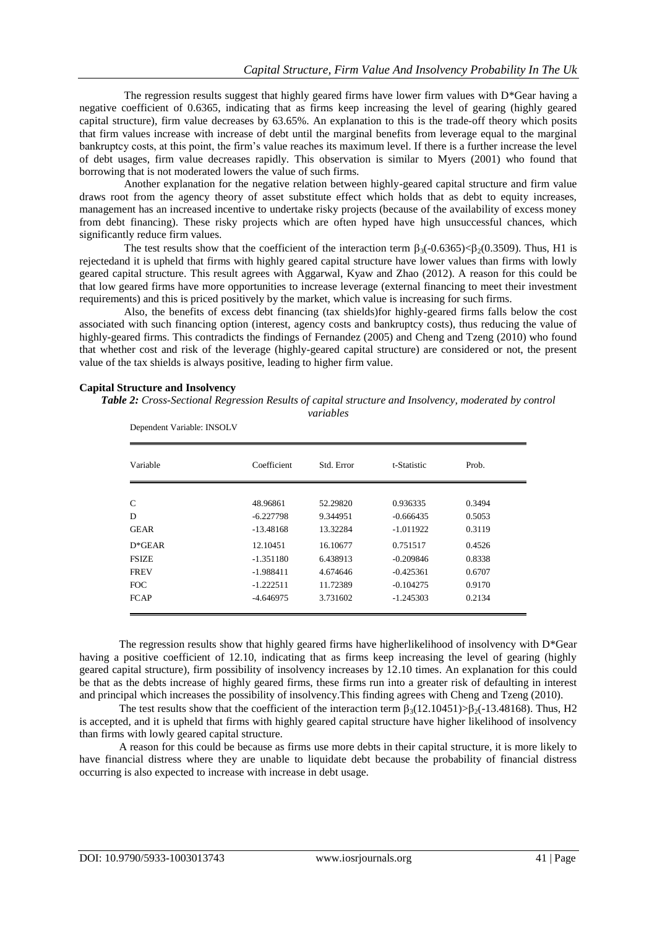The regression results suggest that highly geared firms have lower firm values with  $D^*G$ ear having a negative coefficient of 0.6365, indicating that as firms keep increasing the level of gearing (highly geared capital structure), firm value decreases by 63.65%. An explanation to this is the trade-off theory which posits that firm values increase with increase of debt until the marginal benefits from leverage equal to the marginal bankruptcy costs, at this point, the firm"s value reaches its maximum level. If there is a further increase the level of debt usages, firm value decreases rapidly. This observation is similar to Myers (2001) who found that borrowing that is not moderated lowers the value of such firms.

Another explanation for the negative relation between highly-geared capital structure and firm value draws root from the agency theory of asset substitute effect which holds that as debt to equity increases, management has an increased incentive to undertake risky projects (because of the availability of excess money from debt financing). These risky projects which are often hyped have high unsuccessful chances, which significantly reduce firm values.

The test results show that the coefficient of the interaction term  $\beta_3(-0.6365) < \beta_2(0.3509)$ . Thus, H1 is rejectedand it is upheld that firms with highly geared capital structure have lower values than firms with lowly geared capital structure. This result agrees with Aggarwal, Kyaw and Zhao (2012). A reason for this could be that low geared firms have more opportunities to increase leverage (external financing to meet their investment requirements) and this is priced positively by the market, which value is increasing for such firms.

Also, the benefits of excess debt financing (tax shields)for highly-geared firms falls below the cost associated with such financing option (interest, agency costs and bankruptcy costs), thus reducing the value of highly-geared firms. This contradicts the findings of Fernandez (2005) and Cheng and Tzeng (2010) who found that whether cost and risk of the leverage (highly-geared capital structure) are considered or not, the present value of the tax shields is always positive, leading to higher firm value.

## **Capital Structure and Insolvency**

*Table 2: Cross-Sectional Regression Results of capital structure and Insolvency, moderated by control* 

| Variable     | Coefficient | Std. Error | t-Statistic | Prob.  |
|--------------|-------------|------------|-------------|--------|
| C            | 48.96861    | 52.29820   | 0.936335    | 0.3494 |
| D            | $-6.227798$ | 9.344951   | $-0.666435$ | 0.5053 |
| <b>GEAR</b>  | $-13.48168$ | 13.32284   | $-1.011922$ | 0.3119 |
| $D*GEAR$     | 12.10451    | 16.10677   | 0.751517    | 0.4526 |
| <b>FSIZE</b> | $-1.351180$ | 6.438913   | $-0.209846$ | 0.8338 |
| <b>FREV</b>  | $-1.988411$ | 4.674646   | $-0.425361$ | 0.6707 |
| <b>FOC</b>   | $-1.222511$ | 11.72389   | $-0.104275$ | 0.9170 |
| <b>FCAP</b>  | $-4.646975$ | 3.731602   | $-1.245303$ | 0.2134 |

Dependent Variable: INSOLV

The regression results show that highly geared firms have higherlikelihood of insolvency with D\*Gear having a positive coefficient of 12.10, indicating that as firms keep increasing the level of gearing (highly geared capital structure), firm possibility of insolvency increases by 12.10 times. An explanation for this could be that as the debts increase of highly geared firms, these firms run into a greater risk of defaulting in interest and principal which increases the possibility of insolvency.This finding agrees with Cheng and Tzeng (2010).

The test results show that the coefficient of the interaction term  $\beta_3(12.10451) > \beta_2(-13.48168)$ . Thus, H2 is accepted, and it is upheld that firms with highly geared capital structure have higher likelihood of insolvency than firms with lowly geared capital structure.

A reason for this could be because as firms use more debts in their capital structure, it is more likely to have financial distress where they are unable to liquidate debt because the probability of financial distress occurring is also expected to increase with increase in debt usage.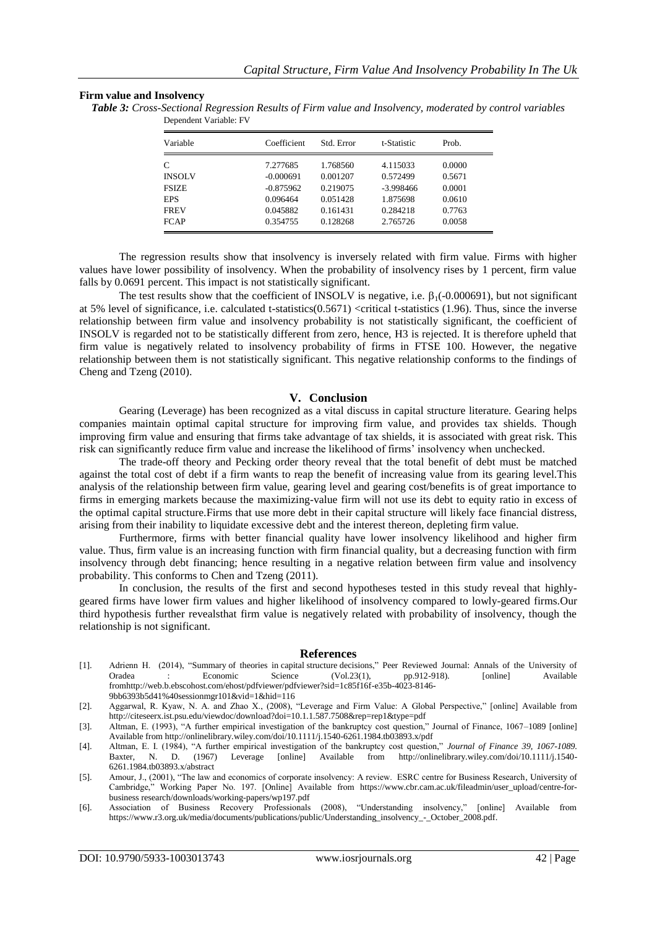## **Firm value and Insolvency**

| Variable      | Coefficient | Std. Error | t-Statistic | Prob.  |
|---------------|-------------|------------|-------------|--------|
| C             | 7.277685    | 1.768560   | 4.115033    | 0.0000 |
| <b>INSOLV</b> | $-0.000691$ | 0.001207   | 0.572499    | 0.5671 |
| <b>FSIZE</b>  | $-0.875962$ | 0.219075   | $-3.998466$ | 0.0001 |
| <b>EPS</b>    | 0.096464    | 0.051428   | 1.875698    | 0.0610 |
| <b>FREV</b>   | 0.045882    | 0.161431   | 0.284218    | 0.7763 |
| <b>FCAP</b>   | 0.354755    | 0.128268   | 2.765726    | 0.0058 |

*Table 3: Cross-Sectional Regression Results of Firm value and Insolvency, moderated by control variables* Dependent Variable: FV

The regression results show that insolvency is inversely related with firm value. Firms with higher values have lower possibility of insolvency. When the probability of insolvency rises by 1 percent, firm value falls by 0.0691 percent. This impact is not statistically significant.

The test results show that the coefficient of INSOLV is negative, i.e.  $\beta_1$ (-0.000691), but not significant at 5% level of significance, i.e. calculated t-statistics(0.5671) <critical t-statistics (1.96). Thus, since the inverse relationship between firm value and insolvency probability is not statistically significant, the coefficient of INSOLV is regarded not to be statistically different from zero, hence, H3 is rejected. It is therefore upheld that firm value is negatively related to insolvency probability of firms in FTSE 100. However, the negative relationship between them is not statistically significant. This negative relationship conforms to the findings of Cheng and Tzeng (2010).

## **V. Conclusion**

Gearing (Leverage) has been recognized as a vital discuss in capital structure literature. Gearing helps companies maintain optimal capital structure for improving firm value, and provides tax shields. Though improving firm value and ensuring that firms take advantage of tax shields, it is associated with great risk. This risk can significantly reduce firm value and increase the likelihood of firms" insolvency when unchecked.

The trade-off theory and Pecking order theory reveal that the total benefit of debt must be matched against the total cost of debt if a firm wants to reap the benefit of increasing value from its gearing level.This analysis of the relationship between firm value, gearing level and gearing cost/benefits is of great importance to firms in emerging markets because the maximizing-value firm will not use its debt to equity ratio in excess of the optimal capital structure.Firms that use more debt in their capital structure will likely face financial distress, arising from their inability to liquidate excessive debt and the interest thereon, depleting firm value.

Furthermore, firms with better financial quality have lower insolvency likelihood and higher firm value. Thus, firm value is an increasing function with firm financial quality, but a decreasing function with firm insolvency through debt financing; hence resulting in a negative relation between firm value and insolvency probability. This conforms to Chen and Tzeng (2011).

In conclusion, the results of the first and second hypotheses tested in this study reveal that highlygeared firms have lower firm values and higher likelihood of insolvency compared to lowly-geared firms.Our third hypothesis further revealsthat firm value is negatively related with probability of insolvency, though the relationship is not significant.

#### **References**

- [1]. Adrienn H. (2014), "Summary [of theories in](http://linker.westminster.ac.uk/sfx_wmin?ctx_ver=Z39.88-2004&ctx_enc=info:ofi/enc:UTF-8&ctx_tim=2017-02-21T17%3A11%3A53IST&url_ver=Z39.88-2004&url_ctx_fmt=infofi/fmt:kev:mtx:ctx&rfr_id=info:sid/primo.exlibrisgroup.com:primo3-Article-doaj_xml&rft_val_fmt=info:ofi/fmt:kev:mtx:journal&rft.genre=article&rft.atitle=SUMMARY%20OF%20THEORIES%20IN%20CAPITAL%20STRUCTURE%20DECISIONS&rft.jtitle=Annals%20of%20the%20University%20of%20Oradea%20:%20Economic%20Science&rft.btitle=&rft.aulast=&rft.auinit=&rft.auinit1=&rft.auinitm=&rft.ausuffix=&rft.au=Herczeg%20Adrienn&rft.aucorp=&rft.date=20140701&rft.volume=23&rft.issue=1&rft.part=&rft.quarter=&rft.ssn=&rft.spage=912&rft.epage=918&rft.pages=912-918&rft.artnum=&rft.issn=1222-569X&rft.eissn=1582-5450&rft.isbn=&rft.sici=&rft.coden=&rft_id=info:doi/&rft.object_id=&svc_val_fmt=info:ofi/fmt:kev:mtx:sch_svc&svc.fulltext=yes&rft_dat=%3Cdoaj_xml%3Eoai:doaj.org/article:1844bbd8f9784945b6747edfa295c56f%3C/doaj_xml%3E&rft.eisbn=&rft_id=info:oai/&req.language=eng) capital structure decisions," Peer Reviewed Journal: Annals of the University of Oradea : Economic Science (Vol.23(1), pp.912-918). [online] Available fro[mhttp://web.b.ebscohost.com/ehost/pdfviewer/pdfviewer?sid=1c85f16f-e35b-4023-8146-](http://web.b.ebscohost.com/ehost/pdfviewer/pdfviewer?sid=1c85f16f-e35b-4023-8146-9bb6393b5d41%40sessionmgr101&vid=1&hid=116) [9bb6393b5d41%40sessionmgr101&vid=1&hid=116](http://web.b.ebscohost.com/ehost/pdfviewer/pdfviewer?sid=1c85f16f-e35b-4023-8146-9bb6393b5d41%40sessionmgr101&vid=1&hid=116)
- [2]. Aggarwal, R. Kyaw, N. A. and Zhao X., (2008), "Leverage and Firm Value: A Global Perspective," [online] Available from http://citeseerx.ist.psu.edu/viewdoc/download?doi=10.1.1.587.7508&rep=rep1&type=pdf
- [3]. Altman, E. (1993), "A further empirical investigation of the bankruptcy cost question," Journal of Finance, 1067–1089 [online] Available fro[m http://onlinelibrary.wiley.com/doi/10.1111/j.1540-6261.1984.tb03893.x/pdf](http://onlinelibrary.wiley.com/doi/10.1111/j.1540-6261.1984.tb03893.x/pdf)
- [4]. Altman, E. I. (1984), "A further empirical investigation of the bankruptcy cost question," *Journal of Finance 39, 1067-1089.*  from [http://onlinelibrary.wiley.com/doi/10.1111/j.1540-](http://onlinelibrary.wiley.com/doi/10.1111/j.1540-6261.1984.tb03893.x/abstract) [6261.1984.tb03893.x/abstract](http://onlinelibrary.wiley.com/doi/10.1111/j.1540-6261.1984.tb03893.x/abstract)
- [5]. Amour, J., (2001), "The law and economics of corporate insolvency: A review. ESRC centre for Business Research, University of Cambridge," Working Paper No. 197. [Online] Available from [https://www.cbr.cam.ac.uk/fileadmin/user\\_upload/centre-for](https://www.cbr.cam.ac.uk/fileadmin/user_upload/centre-for-business)[business](https://www.cbr.cam.ac.uk/fileadmin/user_upload/centre-for-business) research/downloads/working-papers/wp197.pdf
- [6]. Association of Business Recovery Professionals (2008), "Understanding insolvency," [online] Available from [https://www.r3.org.uk/media/documents/publications/public/Understanding\\_insolvency\\_-\\_October\\_2008.pdf.](https://www.r3.org.uk/media/documents/publications/public/Understanding_insolvency_-_October_2008.pdf)